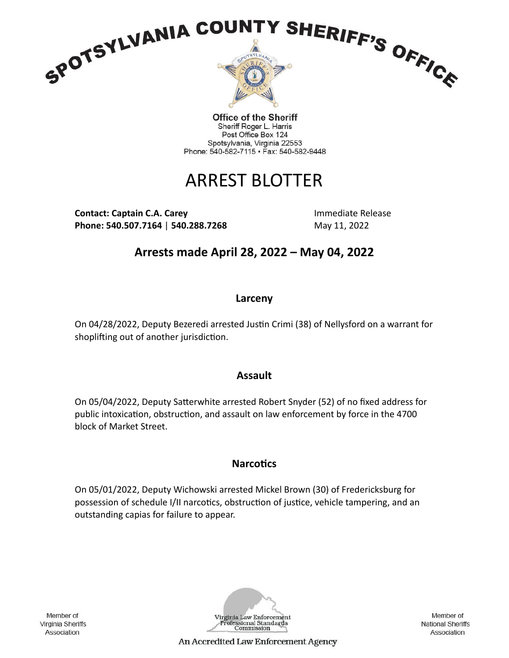

Office of the Sheriff Sheriff Roger L. Harris Post Office Box 124 Spotsylvania, Virginia 22553 Phone: 540-582-7115 · Fax: 540-582-9448

# ARREST BLOTTER

**Contact: Captain C.A. Carey and Contact: Captain C.A. Carey Activities Activities Activities Activities Activities Phone: 540.507.7164 | 540.288.7268** May 11, 2022

**Arrests made April 28, 2022 – May 04, 2022**

## **Larceny**

On 04/28/2022, Deputy Bezeredi arrested Justin Crimi (38) of Nellysford on a warrant for shoplifting out of another jurisdiction.

### **Assault**

On 05/04/2022, Deputy Satterwhite arrested Robert Snyder (52) of no fixed address for public intoxication, obstruction, and assault on law enforcement by force in the 4700 block of Market Street.

# **Narcotics**

On 05/01/2022, Deputy Wichowski arrested Mickel Brown (30) of Fredericksburg for possession of schedule I/II narcotics, obstruction of justice, vehicle tampering, and an outstanding capias for failure to appear.

Member of Virginia Sheriffs Association



Member of **National Sheriffs** Association

An Accredited Law Enforcement Agency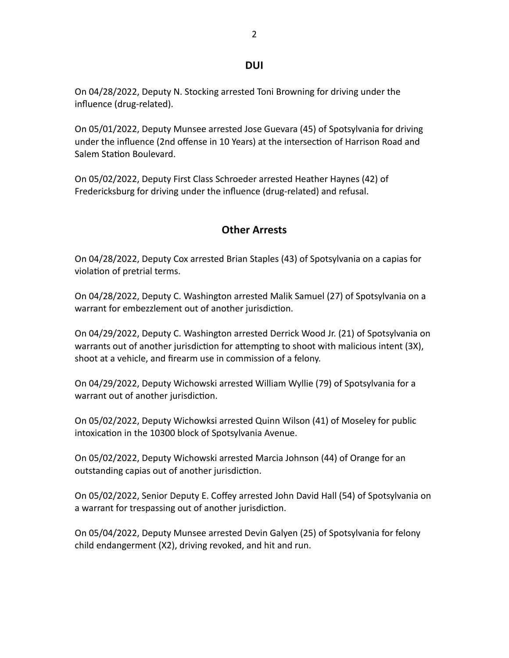#### **DUI**

On 04/28/2022, Deputy N. Stocking arrested Toni Browning for driving under the influence (drug-related).

On 05/01/2022, Deputy Munsee arrested Jose Guevara (45) of Spotsylvania for driving under the influence (2nd offense in 10 Years) at the intersection of Harrison Road and Salem Station Boulevard.

On 05/02/2022, Deputy First Class Schroeder arrested Heather Haynes (42) of Fredericksburg for driving under the influence (drug-related) and refusal.

### **Other Arrests**

On 04/28/2022, Deputy Cox arrested Brian Staples (43) of Spotsylvania on a capias for violation of pretrial terms.

On 04/28/2022, Deputy C. Washington arrested Malik Samuel (27) of Spotsylvania on a warrant for embezzlement out of another jurisdiction.

On 04/29/2022, Deputy C. Washington arrested Derrick Wood Jr. (21) of Spotsylvania on warrants out of another jurisdiction for attempting to shoot with malicious intent (3X), shoot at a vehicle, and firearm use in commission of a felony.

On 04/29/2022, Deputy Wichowski arrested William Wyllie (79) of Spotsylvania for a warrant out of another jurisdiction.

On 05/02/2022, Deputy Wichowksi arrested Quinn Wilson (41) of Moseley for public intoxication in the 10300 block of Spotsylvania Avenue.

On 05/02/2022, Deputy Wichowski arrested Marcia Johnson (44) of Orange for an outstanding capias out of another jurisdiction.

On 05/02/2022, Senior Deputy E. Coffey arrested John David Hall (54) of Spotsylvania on a warrant for trespassing out of another jurisdiction.

On 05/04/2022, Deputy Munsee arrested Devin Galyen (25) of Spotsylvania for felony child endangerment (X2), driving revoked, and hit and run.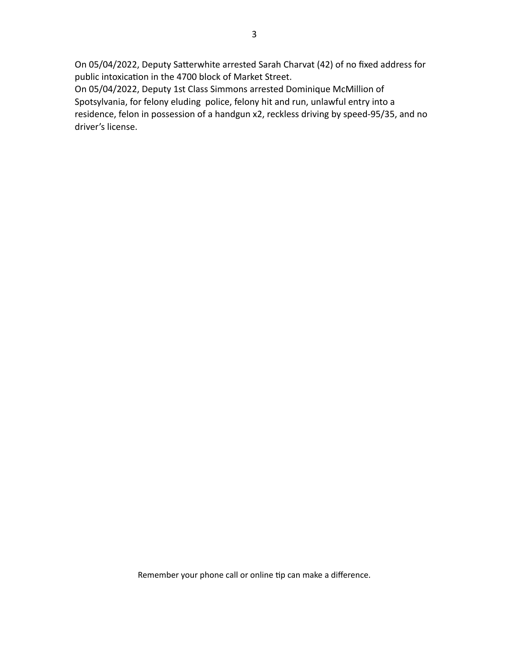On 05/04/2022, Deputy Satterwhite arrested Sarah Charvat (42) of no fixed address for public intoxication in the 4700 block of Market Street.

On 05/04/2022, Deputy 1st Class Simmons arrested Dominique McMillion of Spotsylvania, for felony eluding police, felony hit and run, unlawful entry into a residence, felon in possession of a handgun x2, reckless driving by speed-95/35, and no driver's license.

Remember your phone call or online tip can make a difference.